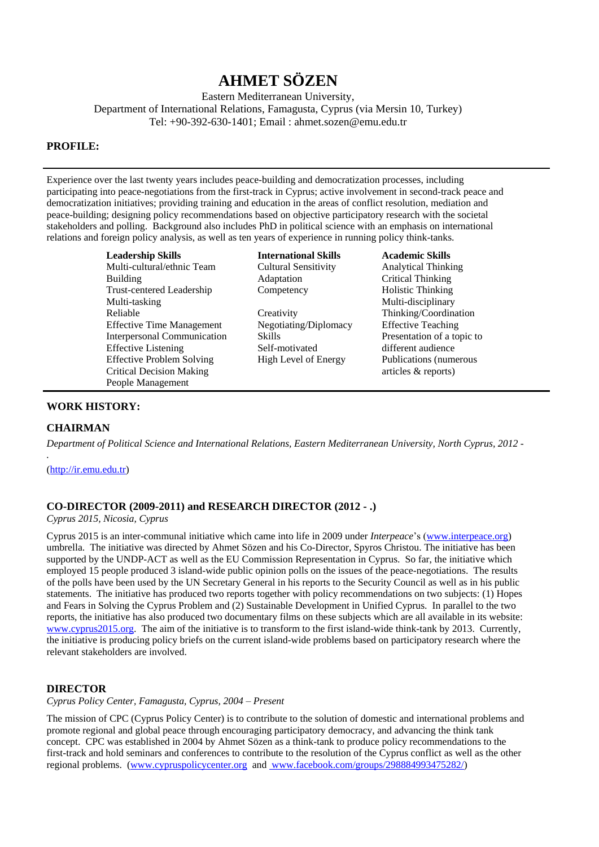# **AHMET SÖZEN**

Eastern Mediterranean University, Department of International Relations, Famagusta, Cyprus (via Mersin 10, Turkey) Tel: +90-392-630-1401; Email : ahmet.sozen@emu.edu.tr

# **PROFILE:**

Experience over the last twenty years includes peace-building and democratization processes, including participating into peace-negotiations from the first-track in Cyprus; active involvement in second-track peace and democratization initiatives; providing training and education in the areas of conflict resolution, mediation and peace-building; designing policy recommendations based on objective participatory research with the societal stakeholders and polling. Background also includes PhD in political science with an emphasis on international relations and foreign policy analysis, as well as ten years of experience in running policy think-tanks.

> **Leadership Skills International Skills Academic Skills** Multi-cultural/ethnic Team Building Trust-centered Leadership Multi-tasking Reliable Effective Time Management Interpersonal Communication Effective Listening Effective Problem Solving Critical Decision Making People Management

Cultural Sensitivity Adaptation **Competency** 

**Creativity** Negotiating/Diplomacy Skills Self-motivated High Level of Energy

Analytical Thinking Critical Thinking Holistic Thinking Multi-disciplinary Thinking/Coordination Effective Teaching Presentation of a topic to different audience Publications (numerous articles & reports)

#### **WORK HISTORY:**

# **CHAIRMAN**

*.*

*Department of Political Science and International Relations, Eastern Mediterranean University, North Cyprus, 2012 -*

[\(http://ir.emu.edu.tr\)](http://ir.emu.edu.tr/)

# **CO-DIRECTOR (2009-2011) and RESEARCH DIRECTOR (2012 - .)**

*Cyprus 2015, Nicosia, Cyprus*

Cyprus 2015 is an inter-communal initiative which came into life in 2009 under *Interpeace*'s [\(www.interpeace.org\)](http://www.interpeace.org/) umbrella. The initiative was directed by Ahmet Sözen and his Co-Director, Spyros Christou. The initiative has been supported by the UNDP-ACT as well as the EU Commission Representation in Cyprus. So far, the initiative which employed 15 people produced 3 island-wide public opinion polls on the issues of the peace-negotiations. The results of the polls have been used by the UN Secretary General in his reports to the Security Council as well as in his public statements. The initiative has produced two reports together with policy recommendations on two subjects: (1) Hopes and Fears in Solving the Cyprus Problem and (2) Sustainable Development in Unified Cyprus. In parallel to the two reports, the initiative has also produced two documentary films on these subjects which are all available in its website: [www.cyprus2015.org.](http://www.cyprus2015.org/) The aim of the initiative is to transform to the first island-wide think-tank by 2013. Currently, the initiative is producing policy briefs on the current island-wide problems based on participatory research where the relevant stakeholders are involved.

#### **DIRECTOR**

*Cyprus Policy Center, Famagusta, Cyprus, 2004 – Present*

The mission of CPC (Cyprus Policy Center) is to contribute to the solution of domestic and international problems and promote regional and global peace through encouraging participatory democracy, and advancing the think tank concept. CPC was established in 2004 by Ahmet Sözen as a think-tank to produce policy recommendations to the first-track and hold seminars and conferences to contribute to the resolution of the Cyprus conflict as well as the other regional problems. [\(www.cypruspolicycenter.org](http://www.cypruspolicycenter.org/) and [www.facebook.com/groups/298884993475282/\)](https://www.facebook.com/groups/298884993475282/)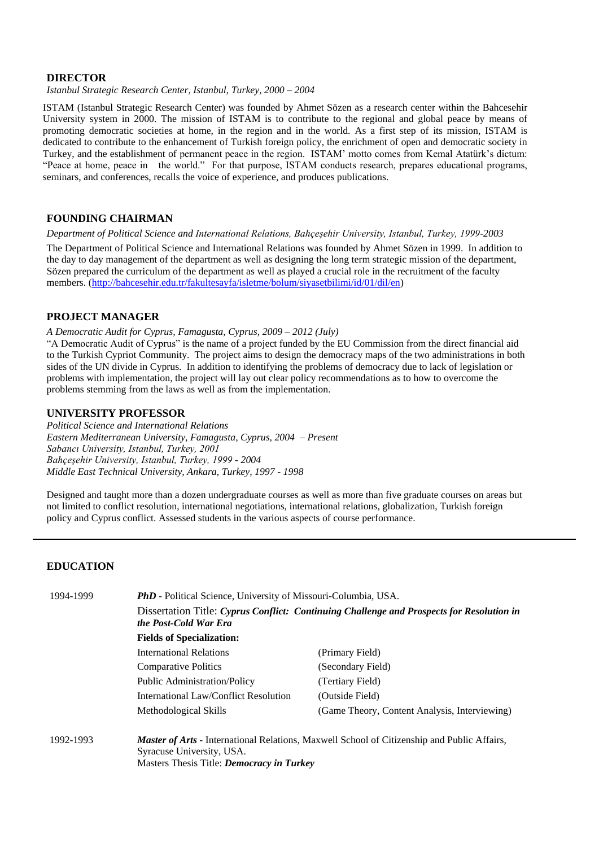# **DIRECTOR**

*Istanbul Strategic Research Center, Istanbul, Turkey, 2000 – 2004*

ISTAM (Istanbul Strategic Research Center) was founded by Ahmet Sözen as a research center within the Bahcesehir University system in 2000. The mission of ISTAM is to contribute to the regional and global peace by means of promoting democratic societies at home, in the region and in the world. As a first step of its mission, ISTAM is dedicated to contribute to the enhancement of Turkish foreign policy, the enrichment of open and democratic society in Turkey, and the establishment of permanent peace in the region. ISTAM' motto comes from Kemal Atatürk's dictum: "Peace at home, peace in the world." For that purpose, ISTAM conducts research, prepares educational programs, seminars, and conferences, recalls the voice of experience, and produces publications.

# **FOUNDING CHAIRMAN**

*Department of Political Science and International Relations, Bahçeşehir University, Istanbul, Turkey, 1999-2003* The Department of Political Science and International Relations was founded by Ahmet Sözen in 1999. In addition to the day to day management of the department as well as designing the long term strategic mission of the department, Sözen prepared the curriculum of the department as well as played a crucial role in the recruitment of the faculty members. [\(http://bahcesehir.edu.tr/fakultesayfa/isletme/bolum/siyasetbilimi/id/01/dil/en\)](http://bahcesehir.edu.tr/fakultesayfa/isletme/bolum/siyasetbilimi/id/01/dil/en)

# **PROJECT MANAGER**

*A Democratic Audit for Cyprus, Famagusta, Cyprus, 2009 – 2012 (July)*

"A Democratic Audit of Cyprus" is the name of a project funded by the EU Commission from the direct financial aid to the Turkish Cypriot Community. The project aims to design the democracy maps of the two administrations in both sides of the UN divide in Cyprus. In addition to identifying the problems of democracy due to lack of legislation or problems with implementation, the project will lay out clear policy recommendations as to how to overcome the problems stemming from the laws as well as from the implementation.

#### **UNIVERSITY PROFESSOR**

*Political Science and International Relations Eastern Mediterranean University, Famagusta, Cyprus, 2004 – Present Sabancı University, Istanbul, Turkey, 2001 Bahçeşehir University, Istanbul, Turkey, 1999 - 2004 Middle East Technical University, Ankara, Turkey, 1997 - 1998*

Designed and taught more than a dozen undergraduate courses as well as more than five graduate courses on areas but not limited to conflict resolution, international negotiations, international relations, globalization, Turkish foreign policy and Cyprus conflict. Assessed students in the various aspects of course performance.

# **EDUCATION**

| 1994-1999                                 | <b>PhD</b> - Political Science, University of Missouri-Columbia, USA.<br>Dissertation Title: Cyprus Conflict: Continuing Challenge and Prospects for Resolution in<br>the Post-Cold War Era<br><b>Fields of Specialization:</b> |                                                                                                    |                                |                   |
|-------------------------------------------|---------------------------------------------------------------------------------------------------------------------------------------------------------------------------------------------------------------------------------|----------------------------------------------------------------------------------------------------|--------------------------------|-------------------|
|                                           |                                                                                                                                                                                                                                 |                                                                                                    | <b>International Relations</b> | (Primary Field)   |
|                                           |                                                                                                                                                                                                                                 |                                                                                                    | <b>Comparative Politics</b>    | (Secondary Field) |
|                                           | <b>Public Administration/Policy</b>                                                                                                                                                                                             | (Tertiary Field)                                                                                   |                                |                   |
|                                           | International Law/Conflict Resolution                                                                                                                                                                                           | (Outside Field)                                                                                    |                                |                   |
|                                           | Methodological Skills                                                                                                                                                                                                           | (Game Theory, Content Analysis, Interviewing)                                                      |                                |                   |
|                                           | 1992-1993                                                                                                                                                                                                                       | <i>Master of Arts</i> - International Relations, Maxwell School of Citizenship and Public Affairs, |                                |                   |
|                                           |                                                                                                                                                                                                                                 | Syracuse University, USA.                                                                          |                                |                   |
| Masters Thesis Title: Democracy in Turkey |                                                                                                                                                                                                                                 |                                                                                                    |                                |                   |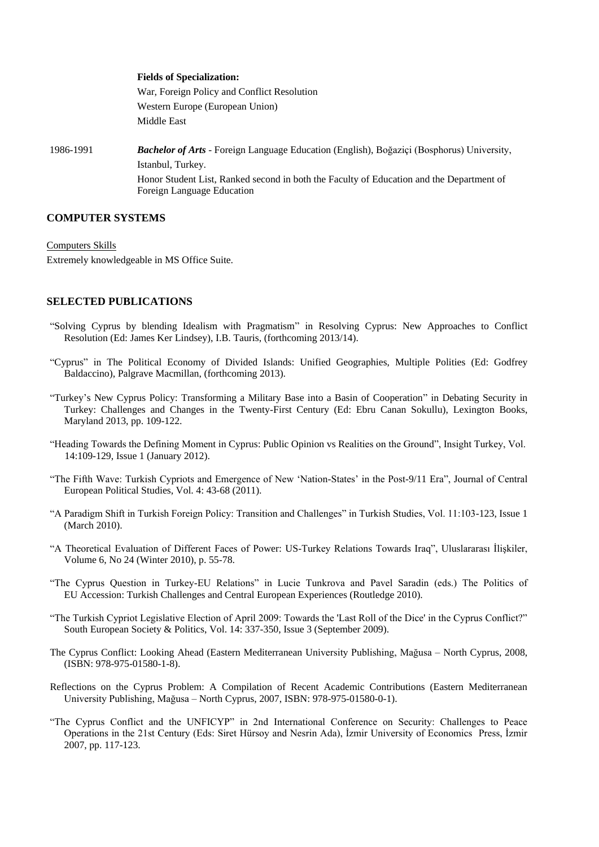# **Fields of Specialization:** War, Foreign Policy and Conflict Resolution Western Europe (European Union) Middle East 1986-1991 *Bachelor of Arts* - Foreign Language Education (English), Boğaziçi (Bosphorus) University, Istanbul, Turkey. Honor Student List, Ranked second in both the Faculty of Education and the Department of Foreign Language Education

# **COMPUTER SYSTEMS**

Computers Skills Extremely knowledgeable in MS Office Suite.

#### **SELECTED PUBLICATIONS**

- "Solving Cyprus by blending Idealism with Pragmatism" in Resolving Cyprus: New Approaches to Conflict Resolution (Ed: James Ker Lindsey), I.B. Tauris, (forthcoming 2013/14).
- "Cyprus" in The Political Economy of Divided Islands: Unified Geographies, Multiple Polities (Ed: Godfrey Baldaccino), Palgrave Macmillan, (forthcoming 2013).
- "Turkey's New Cyprus Policy: Transforming a Military Base into a Basin of Cooperation" in Debating Security in Turkey: Challenges and Changes in the Twenty-First Century (Ed: Ebru Canan Sokullu), Lexington Books, Maryland 2013, pp. 109-122.
- "Heading Towards the Defining Moment in Cyprus: Public Opinion vs Realities on the Ground", Insight Turkey, Vol. 14:109-129, Issue 1 (January 2012).
- "The Fifth Wave: Turkish Cypriots and Emergence of New 'Nation-States' in the Post-9/11 Era", Journal of Central European Political Studies, Vol. 4: 43-68 (2011).
- "A Paradigm Shift in Turkish Foreign Policy: Transition and Challenges" in Turkish Studies, Vol. 11:103-123, Issue 1 (March 2010).
- "A Theoretical Evaluation of Different Faces of Power: US-Turkey Relations Towards Iraq", Uluslararası İlişkiler, Volume 6, No 24 (Winter 2010), p. 55-78.
- "The Cyprus Question in Turkey-EU Relations" in Lucie Tunkrova and Pavel Saradin (eds.) The Politics of EU Accession: Turkish Challenges and Central European Experiences (Routledge 2010).
- "The Turkish Cypriot Legislative Election of April 2009: Towards the 'Last Roll of the Dice' in the Cyprus Conflict?" South European Society & Politics, Vol. 14: 337-350, Issue 3 (September 2009).
- The Cyprus Conflict: Looking Ahead (Eastern Mediterranean University Publishing, Mağusa North Cyprus, 2008, (ISBN: 978-975-01580-1-8).
- Reflections on the Cyprus Problem: A Compilation of Recent Academic Contributions (Eastern Mediterranean University Publishing, Mağusa – North Cyprus, 2007, ISBN: 978-975-01580-0-1).
- "The Cyprus Conflict and the UNFICYP" in 2nd International Conference on Security: Challenges to Peace Operations in the 21st Century (Eds: Siret Hürsoy and Nesrin Ada), İzmir University of Economics Press, İzmir 2007, pp. 117-123.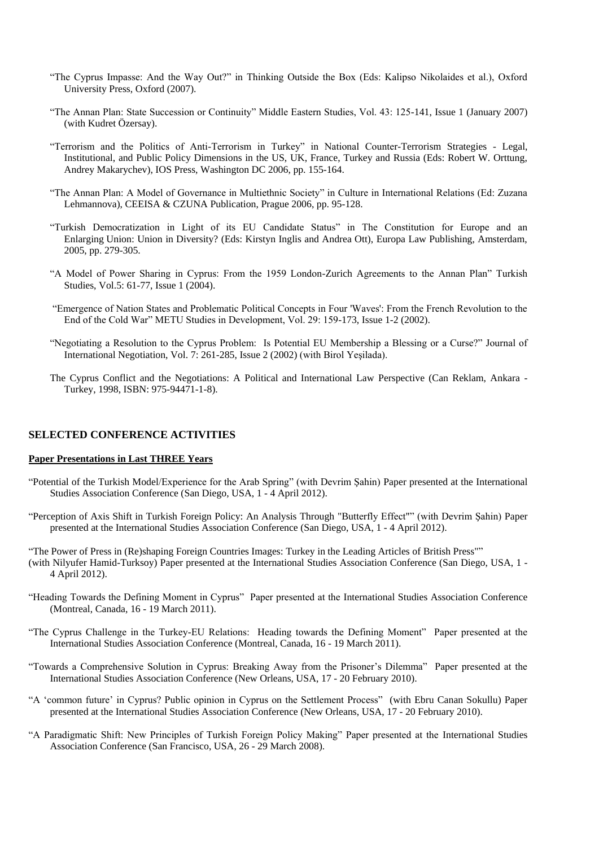- "The Cyprus Impasse: And the Way Out?" in Thinking Outside the Box (Eds: Kalipso Nikolaides et al.), Oxford University Press, Oxford (2007).
- "The Annan Plan: State Succession or Continuity" Middle Eastern Studies, Vol. 43: 125-141, Issue 1 (January 2007) (with Kudret Özersay).
- "Terrorism and the Politics of Anti-Terrorism in Turkey" in National Counter-Terrorism Strategies Legal, Institutional, and Public Policy Dimensions in the US, UK, France, Turkey and Russia (Eds: Robert W. Orttung, Andrey Makarychev), IOS Press, Washington DC 2006, pp. 155-164.
- "The Annan Plan: A Model of Governance in Multiethnic Society" in Culture in International Relations (Ed: Zuzana Lehmannova), CEEISA & CZUNA Publication, Prague 2006, pp. 95-128.
- "Turkish Democratization in Light of its EU Candidate Status" in The Constitution for Europe and an Enlarging Union: Union in Diversity? (Eds: Kirstyn Inglis and Andrea Ott), Europa Law Publishing, Amsterdam, 2005, pp. 279-305.
- "A Model of Power Sharing in Cyprus: From the 1959 London-Zurich Agreements to the Annan Plan" Turkish Studies, Vol.5: 61-77, Issue 1 (2004).
- "Emergence of Nation States and Problematic Political Concepts in Four 'Waves': From the French Revolution to the End of the Cold War" METU Studies in Development, Vol. 29: 159-173, Issue 1-2 (2002).
- "Negotiating a Resolution to the Cyprus Problem: Is Potential EU Membership a Blessing or a Curse?" Journal of International Negotiation, Vol. 7: 261-285, Issue 2 (2002) (with Birol Yeşilada).
- The Cyprus Conflict and the Negotiations: A Political and International Law Perspective (Can Reklam, Ankara Turkey, 1998, ISBN: 975-94471-1-8).

#### **SELECTED CONFERENCE ACTIVITIES**

#### **Paper Presentations in Last THREE Years**

- "Potential of the Turkish Model/Experience for the Arab Spring" (with Devrim Şahin) Paper presented at the International Studies Association Conference (San Diego, USA, 1 - 4 April 2012).
- "Perception of Axis Shift in Turkish Foreign Policy: An Analysis Through "Butterfly Effect"" (with Devrim Şahin) Paper presented at the International Studies Association Conference (San Diego, USA, 1 - 4 April 2012).
- "The Power of Press in (Re)shaping Foreign Countries Images: Turkey in the Leading Articles of British Press"" (with Nilyufer Hamid-Turksoy) Paper presented at the International Studies Association Conference (San Diego, USA, 1 - 4 April 2012).
- "Heading Towards the Defining Moment in Cyprus" Paper presented at the International Studies Association Conference (Montreal, Canada, 16 - 19 March 2011).
- "The Cyprus Challenge in the Turkey-EU Relations: Heading towards the Defining Moment" Paper presented at the International Studies Association Conference (Montreal, Canada, 16 - 19 March 2011).
- "Towards a Comprehensive Solution in Cyprus: Breaking Away from the Prisoner's Dilemma" Paper presented at the International Studies Association Conference (New Orleans, USA, 17 - 20 February 2010).
- "A 'common future' in Cyprus? Public opinion in Cyprus on the Settlement Process" (with Ebru Canan Sokullu) Paper presented at the International Studies Association Conference (New Orleans, USA, 17 - 20 February 2010).
- "A Paradigmatic Shift: New Principles of Turkish Foreign Policy Making" Paper presented at the International Studies Association Conference (San Francisco, USA, 26 - 29 March 2008).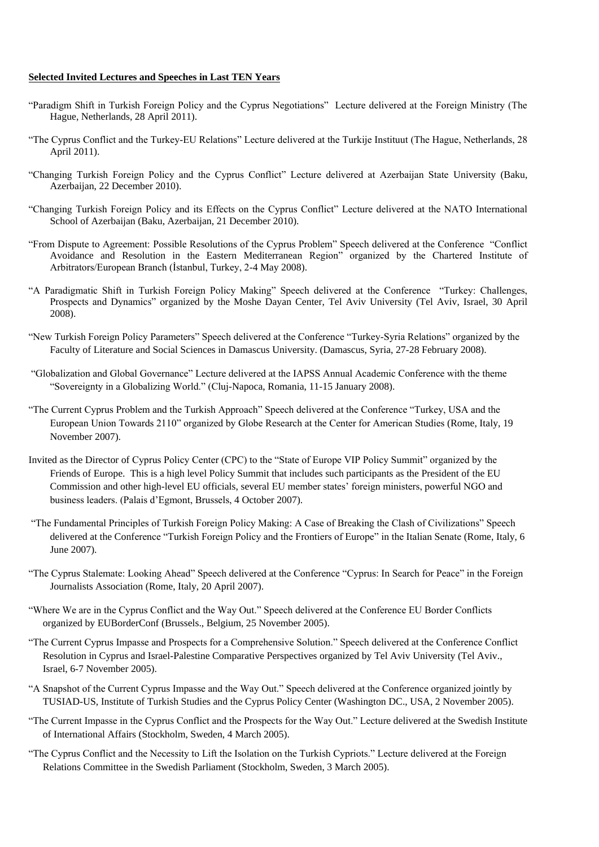#### **Selected Invited Lectures and Speeches in Last TEN Years**

- "Paradigm Shift in Turkish Foreign Policy and the Cyprus Negotiations" Lecture delivered at the Foreign Ministry (The Hague, Netherlands, 28 April 2011).
- "The Cyprus Conflict and the Turkey-EU Relations" Lecture delivered at the Turkije Instituut (The Hague, Netherlands, 28 April 2011).
- "Changing Turkish Foreign Policy and the Cyprus Conflict" Lecture delivered at Azerbaijan State University (Baku, Azerbaijan, 22 December 2010).
- "Changing Turkish Foreign Policy and its Effects on the Cyprus Conflict" Lecture delivered at the NATO International School of Azerbaijan (Baku, Azerbaijan, 21 December 2010).
- "From Dispute to Agreement: Possible Resolutions of the Cyprus Problem" Speech delivered at the Conference "Conflict Avoidance and Resolution in the Eastern Mediterranean Region" organized by the Chartered Institute of Arbitrators/European Branch (İstanbul, Turkey, 2-4 May 2008).
- "A Paradigmatic Shift in Turkish Foreign Policy Making" Speech delivered at the Conference "Turkey: Challenges, Prospects and Dynamics" organized by the Moshe Dayan Center, Tel Aviv University (Tel Aviv, Israel, 30 April 2008).
- "New Turkish Foreign Policy Parameters" Speech delivered at the Conference "Turkey-Syria Relations" organized by the Faculty of Literature and Social Sciences in Damascus University. (Damascus, Syria, 27-28 February 2008).
- "Globalization and Global Governance" Lecture delivered at the IAPSS Annual Academic Conference with the theme "Sovereignty in a Globalizing World." (Cluj-Napoca, Romania, 11-15 January 2008).
- "The Current Cyprus Problem and the Turkish Approach" Speech delivered at the Conference "Turkey, USA and the European Union Towards 2110" organized by Globe Research at the Center for American Studies (Rome, Italy, 19 November 2007).
- Invited as the Director of Cyprus Policy Center (CPC) to the "State of Europe VIP Policy Summit" organized by the Friends of Europe. This is a high level Policy Summit that includes such participants as the President of the EU Commission and other high-level EU officials, several EU member states' foreign ministers, powerful NGO and business leaders. (Palais d'Egmont, Brussels, 4 October 2007).
- "The Fundamental Principles of Turkish Foreign Policy Making: A Case of Breaking the Clash of Civilizations" Speech delivered at the Conference "Turkish Foreign Policy and the Frontiers of Europe" in the Italian Senate (Rome, Italy, 6 June 2007).
- "The Cyprus Stalemate: Looking Ahead" Speech delivered at the Conference "Cyprus: In Search for Peace" in the Foreign Journalists Association (Rome, Italy, 20 April 2007).
- "Where We are in the Cyprus Conflict and the Way Out." Speech delivered at the Conference EU Border Conflicts organized by EUBorderConf (Brussels., Belgium, 25 November 2005).
- "The Current Cyprus Impasse and Prospects for a Comprehensive Solution." Speech delivered at the Conference Conflict Resolution in Cyprus and Israel-Palestine Comparative Perspectives organized by Tel Aviv University (Tel Aviv., Israel, 6-7 November 2005).
- "A Snapshot of the Current Cyprus Impasse and the Way Out." Speech delivered at the Conference organized jointly by TUSIAD-US, Institute of Turkish Studies and the Cyprus Policy Center (Washington DC., USA, 2 November 2005).
- "The Current Impasse in the Cyprus Conflict and the Prospects for the Way Out." Lecture delivered at the Swedish Institute of International Affairs (Stockholm, Sweden, 4 March 2005).
- "The Cyprus Conflict and the Necessity to Lift the Isolation on the Turkish Cypriots." Lecture delivered at the Foreign Relations Committee in the Swedish Parliament (Stockholm, Sweden, 3 March 2005).